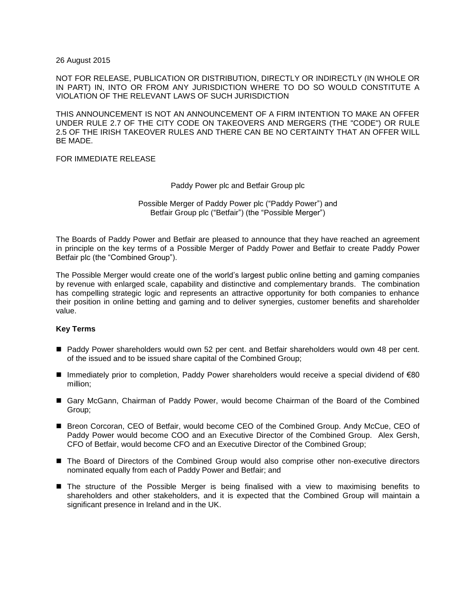26 August 2015

NOT FOR RELEASE, PUBLICATION OR DISTRIBUTION, DIRECTLY OR INDIRECTLY (IN WHOLE OR IN PART) IN, INTO OR FROM ANY JURISDICTION WHERE TO DO SO WOULD CONSTITUTE A VIOLATION OF THE RELEVANT LAWS OF SUCH JURISDICTION

THIS ANNOUNCEMENT IS NOT AN ANNOUNCEMENT OF A FIRM INTENTION TO MAKE AN OFFER UNDER RULE 2.7 OF THE CITY CODE ON TAKEOVERS AND MERGERS (THE "CODE") OR RULE 2.5 OF THE IRISH TAKEOVER RULES AND THERE CAN BE NO CERTAINTY THAT AN OFFER WILL BE MADE.

## FOR IMMEDIATE RELEASE

Paddy Power plc and Betfair Group plc

Possible Merger of Paddy Power plc ("Paddy Power") and Betfair Group plc ("Betfair") (the "Possible Merger")

The Boards of Paddy Power and Betfair are pleased to announce that they have reached an agreement in principle on the key terms of a Possible Merger of Paddy Power and Betfair to create Paddy Power Betfair plc (the "Combined Group").

The Possible Merger would create one of the world's largest public online betting and gaming companies by revenue with enlarged scale, capability and distinctive and complementary brands. The combination has compelling strategic logic and represents an attractive opportunity for both companies to enhance their position in online betting and gaming and to deliver synergies, customer benefits and shareholder value.

## **Key Terms**

- Paddy Power shareholders would own 52 per cent. and Betfair shareholders would own 48 per cent. of the issued and to be issued share capital of the Combined Group;
- Immediately prior to completion, Paddy Power shareholders would receive a special dividend of €80 million;
- Gary McGann, Chairman of Paddy Power, would become Chairman of the Board of the Combined Group;
- Breon Corcoran, CEO of Betfair, would become CEO of the Combined Group. Andy McCue, CEO of Paddy Power would become COO and an Executive Director of the Combined Group. Alex Gersh, CFO of Betfair, would become CFO and an Executive Director of the Combined Group;
- The Board of Directors of the Combined Group would also comprise other non-executive directors nominated equally from each of Paddy Power and Betfair; and
- **The structure of the Possible Merger is being finalised with a view to maximising benefits to** shareholders and other stakeholders, and it is expected that the Combined Group will maintain a significant presence in Ireland and in the UK.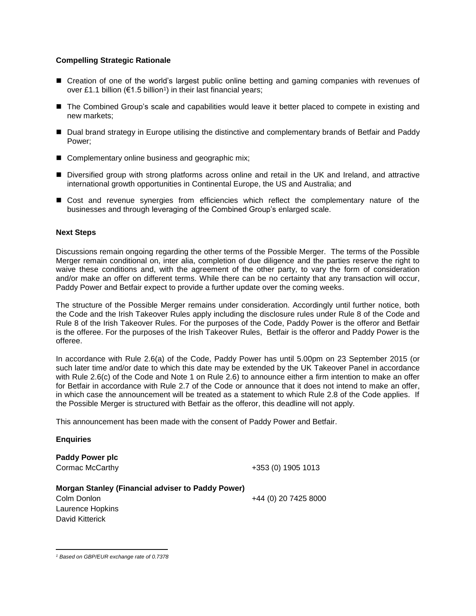# **Compelling Strategic Rationale**

- Creation of one of the world's largest public online betting and gaming companies with revenues of over £1.1 billion ( $\epsilon$ 1.5 billion<sup>1</sup>) in their last financial years;
- The Combined Group's scale and capabilities would leave it better placed to compete in existing and new markets;
- Dual brand strategy in Europe utilising the distinctive and complementary brands of Betfair and Paddy Power;
- Complementary online business and geographic mix;
- Diversified group with strong platforms across online and retail in the UK and Ireland, and attractive international growth opportunities in Continental Europe, the US and Australia; and
- Cost and revenue synergies from efficiencies which reflect the complementary nature of the businesses and through leveraging of the Combined Group's enlarged scale.

### **Next Steps**

Discussions remain ongoing regarding the other terms of the Possible Merger. The terms of the Possible Merger remain conditional on, inter alia, completion of due diligence and the parties reserve the right to waive these conditions and, with the agreement of the other party, to vary the form of consideration and/or make an offer on different terms. While there can be no certainty that any transaction will occur, Paddy Power and Betfair expect to provide a further update over the coming weeks.

The structure of the Possible Merger remains under consideration. Accordingly until further notice, both the Code and the Irish Takeover Rules apply including the disclosure rules under Rule 8 of the Code and Rule 8 of the Irish Takeover Rules. For the purposes of the Code, Paddy Power is the offeror and Betfair is the offeree. For the purposes of the Irish Takeover Rules, Betfair is the offeror and Paddy Power is the offeree.

In accordance with Rule 2.6(a) of the Code, Paddy Power has until 5.00pm on 23 September 2015 (or such later time and/or date to which this date may be extended by the UK Takeover Panel in accordance with Rule 2.6(c) of the Code and Note 1 on Rule 2.6) to announce either a firm intention to make an offer for Betfair in accordance with Rule 2.7 of the Code or announce that it does not intend to make an offer, in which case the announcement will be treated as a statement to which Rule 2.8 of the Code applies. If the Possible Merger is structured with Betfair as the offeror, this deadline will not apply.

This announcement has been made with the consent of Paddy Power and Betfair.

## **Enquiries**

**Paddy Power plc**

Cormac McCarthy +353 (0) 1905 1013

| Morgan Stanley (Financial adviser to Paddy Power) |                      |
|---------------------------------------------------|----------------------|
| Colm Donlon                                       | +44 (0) 20 7425 8000 |
| Laurence Hopkins                                  |                      |
| David Kitterick                                   |                      |

 $\overline{a}$ *<sup>1</sup> Based on GBP/EUR exchange rate of 0.7378*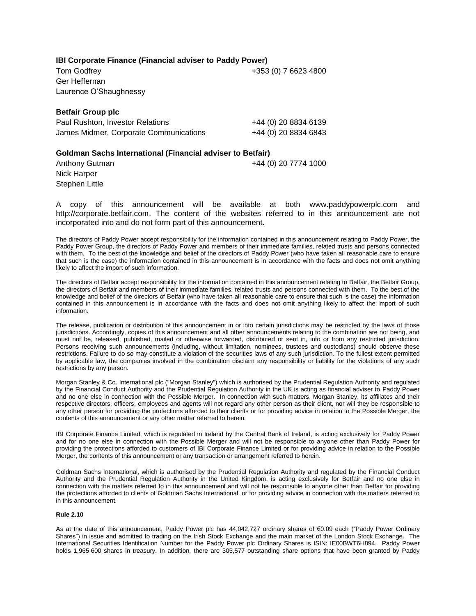**IBI Corporate Finance (Financial adviser to Paddy Power)**

Tom Godfrey +353 (0) 7 6623 4800 Ger Heffernan Laurence O'Shaughnessy

**Betfair Group plc**

| Paul Rushton, Investor Relations       | +44 (0) 20 8834 6139 |
|----------------------------------------|----------------------|
| James Midmer, Corporate Communications | +44 (0) 20 8834 6843 |

**Goldman Sachs International (Financial adviser to Betfair)** Anthony Gutman  $+44$  (0) 20 7774 1000 Nick Harper Stephen Little

A copy of this announcement will be available at both www.paddypowerplc.com and http://corporate.betfair.com. The content of the websites referred to in this announcement are not incorporated into and do not form part of this announcement.

The directors of Paddy Power accept responsibility for the information contained in this announcement relating to Paddy Power, the Paddy Power Group, the directors of Paddy Power and members of their immediate families, related trusts and persons connected with them. To the best of the knowledge and belief of the directors of Paddy Power (who have taken all reasonable care to ensure that such is the case) the information contained in this announcement is in accordance with the facts and does not omit anything likely to affect the import of such information.

The directors of Betfair accept responsibility for the information contained in this announcement relating to Betfair, the Betfair Group, the directors of Betfair and members of their immediate families, related trusts and persons connected with them. To the best of the knowledge and belief of the directors of Betfair (who have taken all reasonable care to ensure that such is the case) the information contained in this announcement is in accordance with the facts and does not omit anything likely to affect the import of such information.

The release, publication or distribution of this announcement in or into certain jurisdictions may be restricted by the laws of those jurisdictions. Accordingly, copies of this announcement and all other announcements relating to the combination are not being, and must not be, released, published, mailed or otherwise forwarded, distributed or sent in, into or from any restricted jurisdiction. Persons receiving such announcements (including, without limitation, nominees, trustees and custodians) should observe these restrictions. Failure to do so may constitute a violation of the securities laws of any such jurisdiction. To the fullest extent permitted by applicable law, the companies involved in the combination disclaim any responsibility or liability for the violations of any such restrictions by any person.

Morgan Stanley & Co. International plc ("Morgan Stanley") which is authorised by the Prudential Regulation Authority and regulated by the Financial Conduct Authority and the Prudential Regulation Authority in the UK is acting as financial adviser to Paddy Power and no one else in connection with the Possible Merger. In connection with such matters, Morgan Stanley, its affiliates and their respective directors, officers, employees and agents will not regard any other person as their client, nor will they be responsible to any other person for providing the protections afforded to their clients or for providing advice in relation to the Possible Merger, the contents of this announcement or any other matter referred to herein.

IBI Corporate Finance Limited, which is regulated in Ireland by the Central Bank of Ireland, is acting exclusively for Paddy Power and for no one else in connection with the Possible Merger and will not be responsible to anyone other than Paddy Power for providing the protections afforded to customers of IBI Corporate Finance Limited or for providing advice in relation to the Possible Merger, the contents of this announcement or any transaction or arrangement referred to herein.

Goldman Sachs International, which is authorised by the Prudential Regulation Authority and regulated by the Financial Conduct Authority and the Prudential Regulation Authority in the United Kingdom, is acting exclusively for Betfair and no one else in connection with the matters referred to in this announcement and will not be responsible to anyone other than Betfair for providing the protections afforded to clients of Goldman Sachs International, or for providing advice in connection with the matters referred to in this announcement.

#### **Rule 2.10**

As at the date of this announcement, Paddy Power plc has 44,042,727 ordinary shares of €0.09 each ("Paddy Power Ordinary Shares") in issue and admitted to trading on the Irish Stock Exchange and the main market of the London Stock Exchange. The International Securities Identification Number for the Paddy Power plc Ordinary Shares is ISIN: IE00BWT6H894. Paddy Power holds 1,965,600 shares in treasury. In addition, there are 305,577 outstanding share options that have been granted by Paddy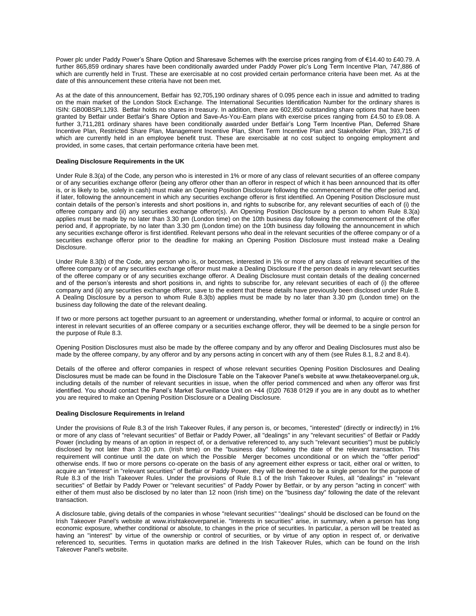Power plc under Paddy Power's Share Option and Sharesave Schemes with the exercise prices ranging from of €14.40 to £40.79. A further 865,859 ordinary shares have been conditionally awarded under Paddy Power plc's Long Term Incentive Plan, 747,886 of which are currently held in Trust. These are exercisable at no cost provided certain performance criteria have been met. As at the date of this announcement these criteria have not been met.

As at the date of this announcement, Betfair has 92,705,190 ordinary shares of 0.095 pence each in issue and admitted to trading on the main market of the London Stock Exchange. The International Securities Identification Number for the ordinary shares is ISIN: GB00BSPL1J93. Betfair holds no shares in treasury. In addition, there are 602,850 outstanding share options that have been granted by Betfair under Betfair's Share Option and Save-As-You-Earn plans with exercise prices ranging from £4.50 to £9.08. A further 3,711,281 ordinary shares have been conditionally awarded under Betfair's Long Term Incentive Plan, Deferred Share Incentive Plan, Restricted Share Plan, Management Incentive Plan, Short Term Incentive Plan and Stakeholder Plan, 393,715 of which are currently held in an employee benefit trust. These are exercisable at no cost subject to ongoing employment and provided, in some cases, that certain performance criteria have been met.

#### **Dealing Disclosure Requirements in the UK**

Under Rule 8.3(a) of the Code, any person who is interested in 1% or more of any class of relevant securities of an offeree company or of any securities exchange offeror (being any offeror other than an offeror in respect of which it has been announced that its offer is, or is likely to be, solely in cash) must make an Opening Position Disclosure following the commencement of the offer period and, if later, following the announcement in which any securities exchange offeror is first identified. An Opening Position Disclosure must contain details of the person's interests and short positions in, and rights to subscribe for, any relevant securities of each of (i) the offeree company and (ii) any securities exchange offeror(s). An Opening Position Disclosure by a person to whom Rule 8.3(a) applies must be made by no later than 3.30 pm (London time) on the 10th business day following the commencement of the offer period and, if appropriate, by no later than 3.30 pm (London time) on the 10th business day following the announcement in which any securities exchange offeror is first identified. Relevant persons who deal in the relevant securities of the offeree company or of a securities exchange offeror prior to the deadline for making an Opening Position Disclosure must instead make a Dealing Disclosure.

Under Rule 8.3(b) of the Code, any person who is, or becomes, interested in 1% or more of any class of relevant securities of the offeree company or of any securities exchange offeror must make a Dealing Disclosure if the person deals in any relevant securities of the offeree company or of any securities exchange offeror. A Dealing Disclosure must contain details of the dealing concerned and of the person's interests and short positions in, and rights to subscribe for, any relevant securities of each of (i) the offeree company and (ii) any securities exchange offeror, save to the extent that these details have previously been disclosed under Rule 8. A Dealing Disclosure by a person to whom Rule 8.3(b) applies must be made by no later than 3.30 pm (London time) on the business day following the date of the relevant dealing.

If two or more persons act together pursuant to an agreement or understanding, whether formal or informal, to acquire or control an interest in relevant securities of an offeree company or a securities exchange offeror, they will be deemed to be a single person for the purpose of Rule 8.3.

Opening Position Disclosures must also be made by the offeree company and by any offeror and Dealing Disclosures must also be made by the offeree company, by any offeror and by any persons acting in concert with any of them (see Rules 8.1, 8.2 and 8.4).

Details of the offeree and offeror companies in respect of whose relevant securities Opening Position Disclosures and Dealing Disclosures must be made can be found in the Disclosure Table on the Takeover Panel's website at www.thetakeoverpanel.org.uk, including details of the number of relevant securities in issue, when the offer period commenced and when any offeror was first identified. You should contact the Panel's Market Surveillance Unit on +44 (0)20 7638 0129 if you are in any doubt as to whether you are required to make an Opening Position Disclosure or a Dealing Disclosure.

#### **Dealing Disclosure Requirements in Ireland**

Under the provisions of Rule 8.3 of the Irish Takeover Rules, if any person is, or becomes, "interested" (directly or indirectly) in 1% or more of any class of "relevant securities" of Betfair or Paddy Power, all "dealings" in any "relevant securities" of Betfair or Paddy Power (including by means of an option in respect of, or a derivative referenced to, any such "relevant securities") must be publicly disclosed by not later than 3:30 p.m. (Irish time) on the "business day" following the date of the relevant transaction. This requirement will continue until the date on which the Possible Merger becomes unconditional or on which the "offer period" otherwise ends. If two or more persons co-operate on the basis of any agreement either express or tacit, either oral or written, to acquire an "interest" in "relevant securities" of Betfair or Paddy Power, they will be deemed to be a single person for the purpose of Rule 8.3 of the Irish Takeover Rules. Under the provisions of Rule 8.1 of the Irish Takeover Rules, all "dealings" in "relevant securities" of Betfair by Paddy Power or "relevant securities" of Paddy Power by Betfair, or by any person "acting in concert" with either of them must also be disclosed by no later than 12 noon (Irish time) on the "business day" following the date of the relevant transaction.

A disclosure table, giving details of the companies in whose "relevant securities" "dealings" should be disclosed can be found on the Irish Takeover Panel's website at www.irishtakeoverpanel.ie. "Interests in securities" arise, in summary, when a person has long economic exposure, whether conditional or absolute, to changes in the price of securities. In particular, a person will be treated as having an "interest" by virtue of the ownership or control of securities, or by virtue of any option in respect of, or derivative referenced to, securities. Terms in quotation marks are defined in the Irish Takeover Rules, which can be found on the Irish Takeover Panel's website.